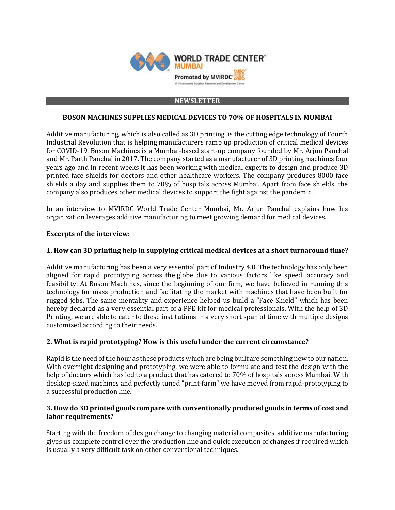

#### **NEWSLETTER**

## **BOSON MACHINES SUPPLIES MEDICAL DEVICES TO 70% OF HOSPITALS IN MUMBAI**

Additive manufacturing, which is also called as 3D printing, is the cutting edge technology of Fourth Industrial Revolution that is helping manufacturers ramp up production of critical medical devices for COVID-19. Boson Machines is a Mumbai-based start-up company founded by Mr. Arjun Panchal and Mr. Parth Panchal in 2017. The company started as a manufacturer of 3D printing machines four years ago and in recent weeks it has been working with medical experts to design and produce 3D printed face shields for doctors and other healthcare workers. The company produces 8000 face shields a day and supplies them to 70% of hospitals across Mumbai. Apart from face shields, the company also produces other medical devices to support the fight against the pandemic.

In an interview to MVIRDC World Trade Center Mumbai, Mr. Arjun Panchal explains how his organization leverages additive manufacturing to meet growing demand for medical devices.

### **Excerpts of the interview:**

### **1. How can 3D printing help in supplying critical medical devices at a short turnaround time?**

Additive manufacturing has been a very essential part of Industry 4.0. The technology has only been aligned for rapid prototyping across the globe due to various factors like speed, accuracy and feasibility. At Boson Machines, since the beginning of our firm, we have believed in running this technology for mass production and facilitating the market with machines that have been built for rugged jobs. The same mentality and experience helped us build a "Face Shield" which has been hereby declared as a very essential part of a PPE kit for medical professionals. With the help of 3D Printing, we are able to cater to these institutions in a very short span of time with multiple designs customized according to their needs.

## **2. What is rapid prototyping? How is this useful under the current circumstance?**

Rapid is the need of the hour as these products which are being built are something new to our nation. With overnight designing and prototyping, we were able to formulate and test the design with the help of doctors which has led to a product that has catered to 70% of hospitals across Mumbai. With desktop-sized machines and perfectly tuned "print-farm" we have moved from rapid-prototyping to a successful production line.

## **3. How do 3D printed goods compare with conventionally produced goods in terms of cost and labor requirements?**

Starting with the freedom of design change to changing material composites, additive manufacturing gives us complete control over the production line and quick execution of changes if required which is usually a very difficult task on other conventional techniques.